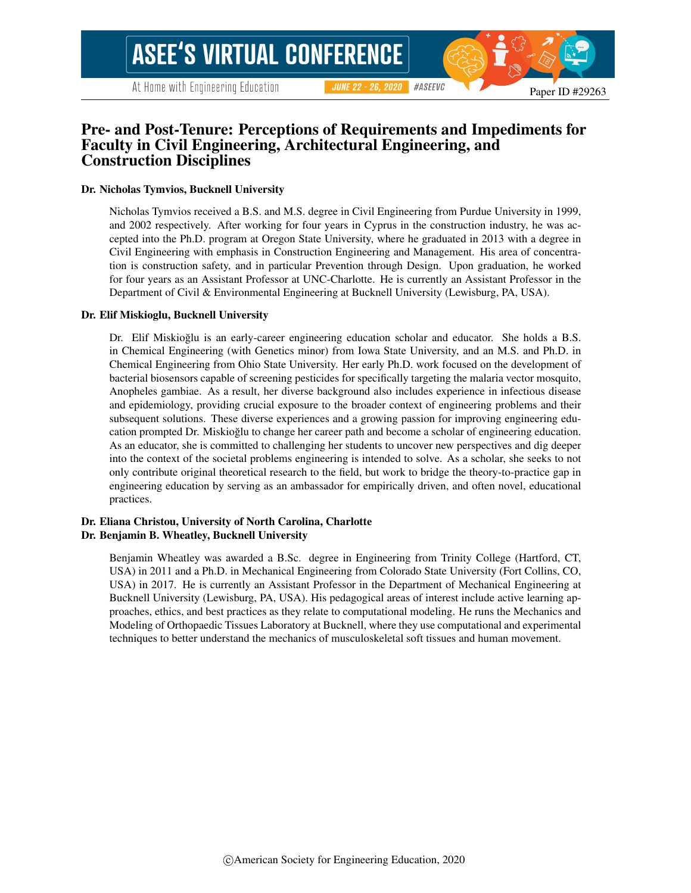# Pre- and Post-Tenure: Perceptions of Requirements and Impediments for Faculty in Civil Engineering, Architectural Engineering, and Construction Disciplines

#### Dr. Nicholas Tymvios, Bucknell University

Nicholas Tymvios received a B.S. and M.S. degree in Civil Engineering from Purdue University in 1999, and 2002 respectively. After working for four years in Cyprus in the construction industry, he was accepted into the Ph.D. program at Oregon State University, where he graduated in 2013 with a degree in Civil Engineering with emphasis in Construction Engineering and Management. His area of concentration is construction safety, and in particular Prevention through Design. Upon graduation, he worked for four years as an Assistant Professor at UNC-Charlotte. He is currently an Assistant Professor in the Department of Civil & Environmental Engineering at Bucknell University (Lewisburg, PA, USA).

#### Dr. Elif Miskioglu, Bucknell University

Dr. Elif Miskioglu is an early-career engineering education scholar and educator. She holds a B.S. in Chemical Engineering (with Genetics minor) from Iowa State University, and an M.S. and Ph.D. in Chemical Engineering from Ohio State University. Her early Ph.D. work focused on the development of bacterial biosensors capable of screening pesticides for specifically targeting the malaria vector mosquito, Anopheles gambiae. As a result, her diverse background also includes experience in infectious disease and epidemiology, providing crucial exposure to the broader context of engineering problems and their subsequent solutions. These diverse experiences and a growing passion for improving engineering education prompted Dr. Miskioglu to change her career path and become a scholar of engineering education. ˘ As an educator, she is committed to challenging her students to uncover new perspectives and dig deeper into the context of the societal problems engineering is intended to solve. As a scholar, she seeks to not only contribute original theoretical research to the field, but work to bridge the theory-to-practice gap in engineering education by serving as an ambassador for empirically driven, and often novel, educational practices.

#### Dr. Eliana Christou, University of North Carolina, Charlotte Dr. Benjamin B. Wheatley, Bucknell University

Benjamin Wheatley was awarded a B.Sc. degree in Engineering from Trinity College (Hartford, CT, USA) in 2011 and a Ph.D. in Mechanical Engineering from Colorado State University (Fort Collins, CO, USA) in 2017. He is currently an Assistant Professor in the Department of Mechanical Engineering at Bucknell University (Lewisburg, PA, USA). His pedagogical areas of interest include active learning approaches, ethics, and best practices as they relate to computational modeling. He runs the Mechanics and Modeling of Orthopaedic Tissues Laboratory at Bucknell, where they use computational and experimental techniques to better understand the mechanics of musculoskeletal soft tissues and human movement.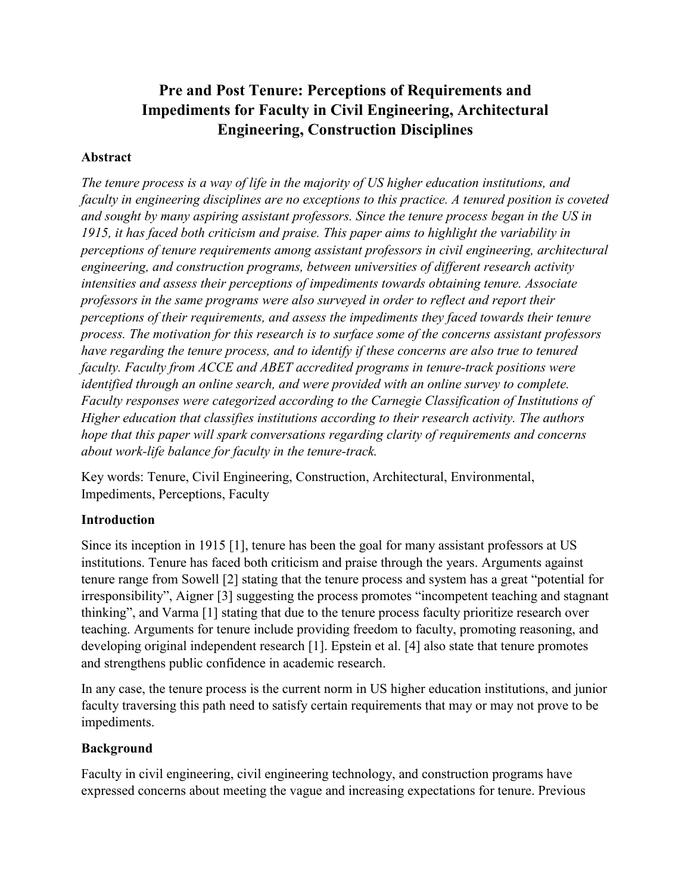# **Pre and Post Tenure: Perceptions of Requirements and Impediments for Faculty in Civil Engineering, Architectural Engineering, Construction Disciplines**

# **Abstract**

*The tenure process is a way of life in the majority of US higher education institutions, and faculty in engineering disciplines are no exceptions to this practice. A tenured position is coveted and sought by many aspiring assistant professors. Since the tenure process began in the US in 1915, it has faced both criticism and praise. This paper aims to highlight the variability in perceptions of tenure requirements among assistant professors in civil engineering, architectural engineering, and construction programs, between universities of different research activity intensities and assess their perceptions of impediments towards obtaining tenure. Associate professors in the same programs were also surveyed in order to reflect and report their perceptions of their requirements, and assess the impediments they faced towards their tenure process. The motivation for this research is to surface some of the concerns assistant professors have regarding the tenure process, and to identify if these concerns are also true to tenured faculty. Faculty from ACCE and ABET accredited programs in tenure-track positions were identified through an online search, and were provided with an online survey to complete. Faculty responses were categorized according to the Carnegie Classification of Institutions of Higher education that classifies institutions according to their research activity. The authors hope that this paper will spark conversations regarding clarity of requirements and concerns about work-life balance for faculty in the tenure-track.*

Key words: Tenure, Civil Engineering, Construction, Architectural, Environmental, Impediments, Perceptions, Faculty

# **Introduction**

Since its inception in 1915 [1], tenure has been the goal for many assistant professors at US institutions. Tenure has faced both criticism and praise through the years. Arguments against tenure range from Sowell [2] stating that the tenure process and system has a great "potential for irresponsibility", Aigner [3] suggesting the process promotes "incompetent teaching and stagnant thinking", and Varma [1] stating that due to the tenure process faculty prioritize research over teaching. Arguments for tenure include providing freedom to faculty, promoting reasoning, and developing original independent research [1]. Epstein et al. [4] also state that tenure promotes and strengthens public confidence in academic research.

In any case, the tenure process is the current norm in US higher education institutions, and junior faculty traversing this path need to satisfy certain requirements that may or may not prove to be impediments.

# **Background**

Faculty in civil engineering, civil engineering technology, and construction programs have expressed concerns about meeting the vague and increasing expectations for tenure. Previous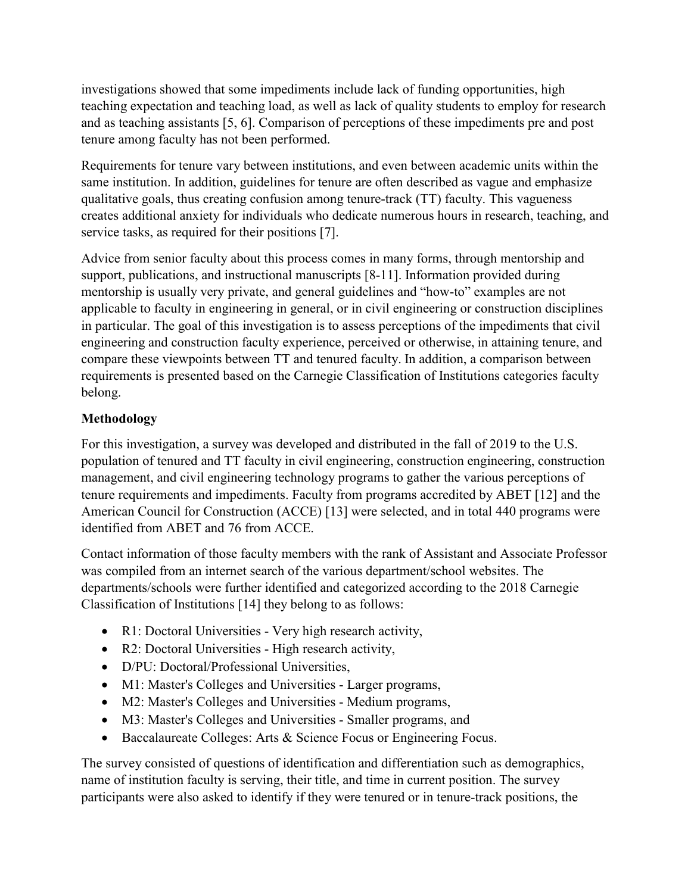investigations showed that some impediments include lack of funding opportunities, high teaching expectation and teaching load, as well as lack of quality students to employ for research and as teaching assistants [5, 6]. Comparison of perceptions of these impediments pre and post tenure among faculty has not been performed.

Requirements for tenure vary between institutions, and even between academic units within the same institution. In addition, guidelines for tenure are often described as vague and emphasize qualitative goals, thus creating confusion among tenure-track (TT) faculty. This vagueness creates additional anxiety for individuals who dedicate numerous hours in research, teaching, and service tasks, as required for their positions [7].

Advice from senior faculty about this process comes in many forms, through mentorship and support, publications, and instructional manuscripts [8-11]. Information provided during mentorship is usually very private, and general guidelines and "how-to" examples are not applicable to faculty in engineering in general, or in civil engineering or construction disciplines in particular. The goal of this investigation is to assess perceptions of the impediments that civil engineering and construction faculty experience, perceived or otherwise, in attaining tenure, and compare these viewpoints between TT and tenured faculty. In addition, a comparison between requirements is presented based on the Carnegie Classification of Institutions categories faculty belong.

# **Methodology**

For this investigation, a survey was developed and distributed in the fall of 2019 to the U.S. population of tenured and TT faculty in civil engineering, construction engineering, construction management, and civil engineering technology programs to gather the various perceptions of tenure requirements and impediments. Faculty from programs accredited by ABET [12] and the American Council for Construction (ACCE) [13] were selected, and in total 440 programs were identified from ABET and 76 from ACCE.

Contact information of those faculty members with the rank of Assistant and Associate Professor was compiled from an internet search of the various department/school websites. The departments/schools were further identified and categorized according to the 2018 Carnegie Classification of Institutions [14] they belong to as follows:

- R1: Doctoral Universities Very high research activity,
- R2: Doctoral Universities High research activity,
- D/PU: Doctoral/Professional Universities,
- M1: Master's Colleges and Universities Larger programs,
- M2: Master's Colleges and Universities Medium programs,
- M3: Master's Colleges and Universities Smaller programs, and
- Baccalaureate Colleges: Arts & Science Focus or Engineering Focus.

The survey consisted of questions of identification and differentiation such as demographics, name of institution faculty is serving, their title, and time in current position. The survey participants were also asked to identify if they were tenured or in tenure-track positions, the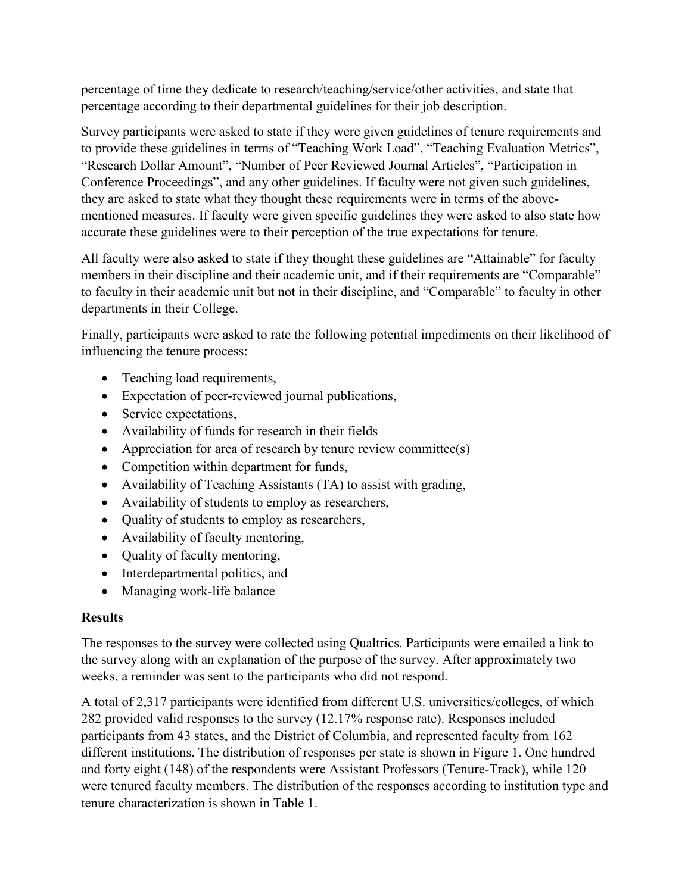percentage of time they dedicate to research/teaching/service/other activities, and state that percentage according to their departmental guidelines for their job description.

Survey participants were asked to state if they were given guidelines of tenure requirements and to provide these guidelines in terms of "Teaching Work Load", "Teaching Evaluation Metrics", "Research Dollar Amount", "Number of Peer Reviewed Journal Articles", "Participation in Conference Proceedings", and any other guidelines. If faculty were not given such guidelines, they are asked to state what they thought these requirements were in terms of the abovementioned measures. If faculty were given specific guidelines they were asked to also state how accurate these guidelines were to their perception of the true expectations for tenure.

All faculty were also asked to state if they thought these guidelines are "Attainable" for faculty members in their discipline and their academic unit, and if their requirements are "Comparable" to faculty in their academic unit but not in their discipline, and "Comparable" to faculty in other departments in their College.

Finally, participants were asked to rate the following potential impediments on their likelihood of influencing the tenure process:

- Teaching load requirements,
- Expectation of peer-reviewed journal publications,
- Service expectations,
- Availability of funds for research in their fields
- Appreciation for area of research by tenure review committee(s)
- Competition within department for funds,
- Availability of Teaching Assistants (TA) to assist with grading,
- Availability of students to employ as researchers,
- Quality of students to employ as researchers,
- Availability of faculty mentoring,
- Quality of faculty mentoring,
- Interdepartmental politics, and
- Managing work-life balance

# **Results**

The responses to the survey were collected using Qualtrics. Participants were emailed a link to the survey along with an explanation of the purpose of the survey. After approximately two weeks, a reminder was sent to the participants who did not respond.

A total of 2,317 participants were identified from different U.S. universities/colleges, of which 282 provided valid responses to the survey (12.17% response rate). Responses included participants from 43 states, and the District of Columbia, and represented faculty from 162 different institutions. The distribution of responses per state is shown in [Figure 1.](#page-4-0) One hundred and forty eight (148) of the respondents were Assistant Professors (Tenure-Track), while 120 were tenured faculty members. The distribution of the responses according to institution type and tenure characterization is shown in [Table 1.](#page-4-1)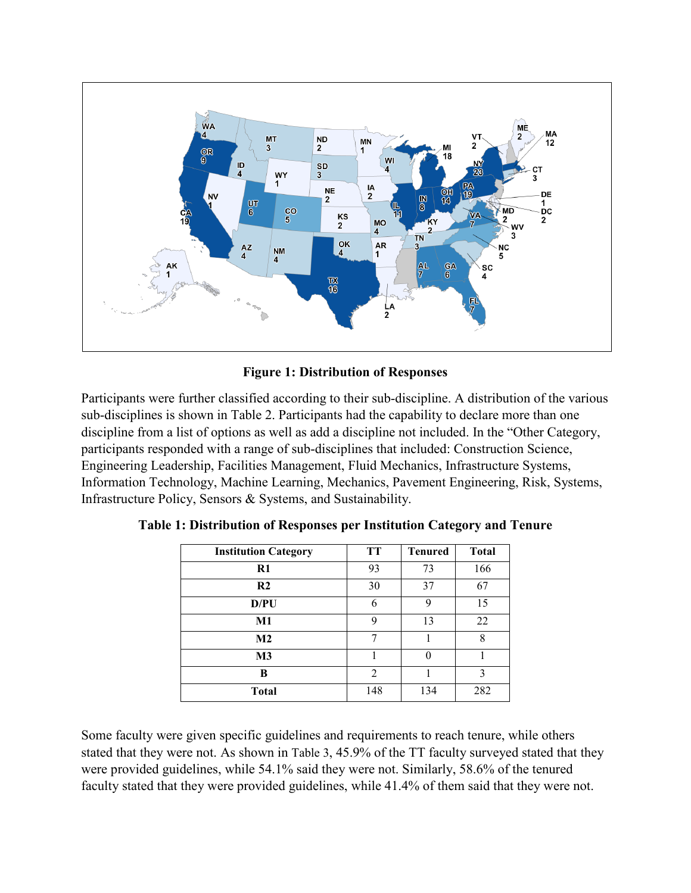

**Figure 1: Distribution of Responses**

<span id="page-4-0"></span>Participants were further classified according to their sub-discipline. A distribution of the various sub-disciplines is shown in [Table 2.](#page-5-0) Participants had the capability to declare more than one discipline from a list of options as well as add a discipline not included. In the "Other Category, participants responded with a range of sub-disciplines that included: Construction Science, Engineering Leadership, Facilities Management, Fluid Mechanics, Infrastructure Systems, Information Technology, Machine Learning, Mechanics, Pavement Engineering, Risk, Systems, Infrastructure Policy, Sensors & Systems, and Sustainability.

| <b>Institution Category</b> | TT  | <b>Tenured</b> | <b>Total</b> |
|-----------------------------|-----|----------------|--------------|
| $R1$                        | 93  | 73             | 166          |
| R <sub>2</sub>              | 30  | 37             | 67           |
| D/PU                        | 6   | 9              | 15           |
| M1                          | 9   | 13             | 22           |
| M <sub>2</sub>              | 7   |                | 8            |
| M3                          |     | 0              |              |
| в                           | 2   |                | 3            |
| <b>Total</b>                | 148 | 134            | 282          |

<span id="page-4-1"></span>**Table 1: Distribution of Responses per Institution Category and Tenure**

Some faculty were given specific guidelines and requirements to reach tenure, while others stated that they were not. As shown in [Table 3,](#page-5-1) 45.9% of the TT faculty surveyed stated that they were provided guidelines, while 54.1% said they were not. Similarly, 58.6% of the tenured faculty stated that they were provided guidelines, while 41.4% of them said that they were not.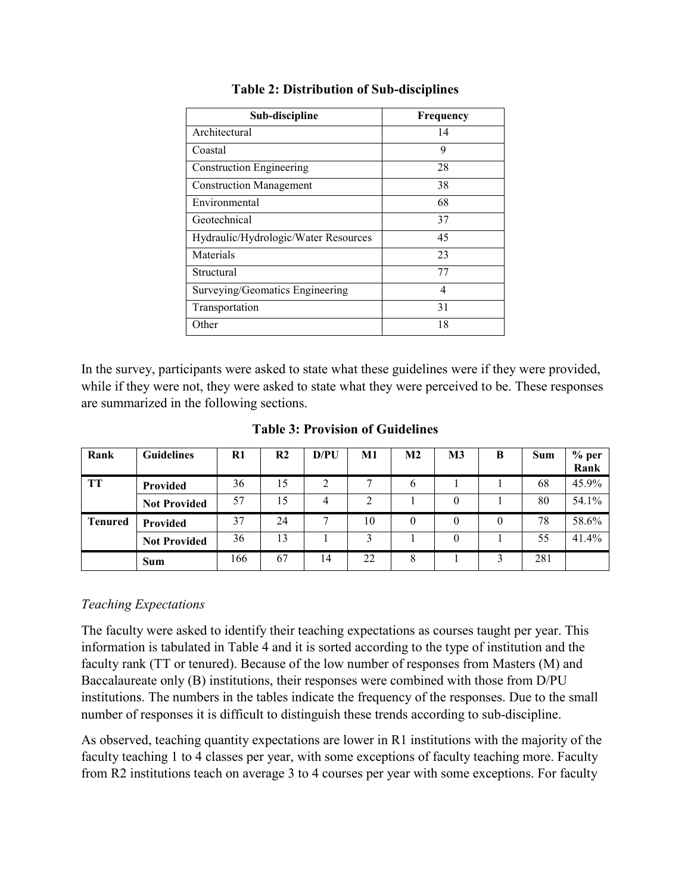<span id="page-5-0"></span>

| Sub-discipline                       | Frequency |
|--------------------------------------|-----------|
| Architectural                        | 14        |
| Coastal                              | 9         |
| <b>Construction Engineering</b>      | 28        |
| <b>Construction Management</b>       | 38        |
| Environmental                        | 68        |
| Geotechnical                         | 37        |
| Hydraulic/Hydrologic/Water Resources | 45        |
| Materials                            | 23        |
| Structural                           | 77        |
| Surveying/Geomatics Engineering      | 4         |
| Transportation                       | 31        |
| Other                                | 18        |

#### **Table 2: Distribution of Sub-disciplines**

In the survey, participants were asked to state what these guidelines were if they were provided, while if they were not, they were asked to state what they were perceived to be. These responses are summarized in the following sections.

#### **Table 3: Provision of Guidelines**

<span id="page-5-1"></span>

| Rank           | <b>Guidelines</b>   | $R1$ | R <sub>2</sub> | D/PU | M1 | M <sub>2</sub> | M <sub>3</sub> | B | <b>Sum</b> | $%$ per<br>Rank |
|----------------|---------------------|------|----------------|------|----|----------------|----------------|---|------------|-----------------|
| TT             | <b>Provided</b>     | 36   | 15             | 2    |    | b              |                |   | 68         | 45.9%           |
|                | <b>Not Provided</b> | 57   | 15             | 4    | ◠  |                | $\theta$       |   | 80         | 54.1%           |
| <b>Tenured</b> | Provided            | 37   | 24             | π    | 10 |                |                | 0 | 78         | 58.6%           |
|                | <b>Not Provided</b> | 36   | 13             |      | 3  |                | $\theta$       |   | 55         | 41.4%           |
|                | Sum                 | 166  | 67             | 14   | 22 |                |                |   | 281        |                 |

#### *Teaching Expectations*

The faculty were asked to identify their teaching expectations as courses taught per year. This information is tabulated in [Table 4](#page-6-0) and it is sorted according to the type of institution and the faculty rank (TT or tenured). Because of the low number of responses from Masters (M) and Baccalaureate only (B) institutions, their responses were combined with those from D/PU institutions. The numbers in the tables indicate the frequency of the responses. Due to the small number of responses it is difficult to distinguish these trends according to sub-discipline.

As observed, teaching quantity expectations are lower in R1 institutions with the majority of the faculty teaching 1 to 4 classes per year, with some exceptions of faculty teaching more. Faculty from R2 institutions teach on average 3 to 4 courses per year with some exceptions. For faculty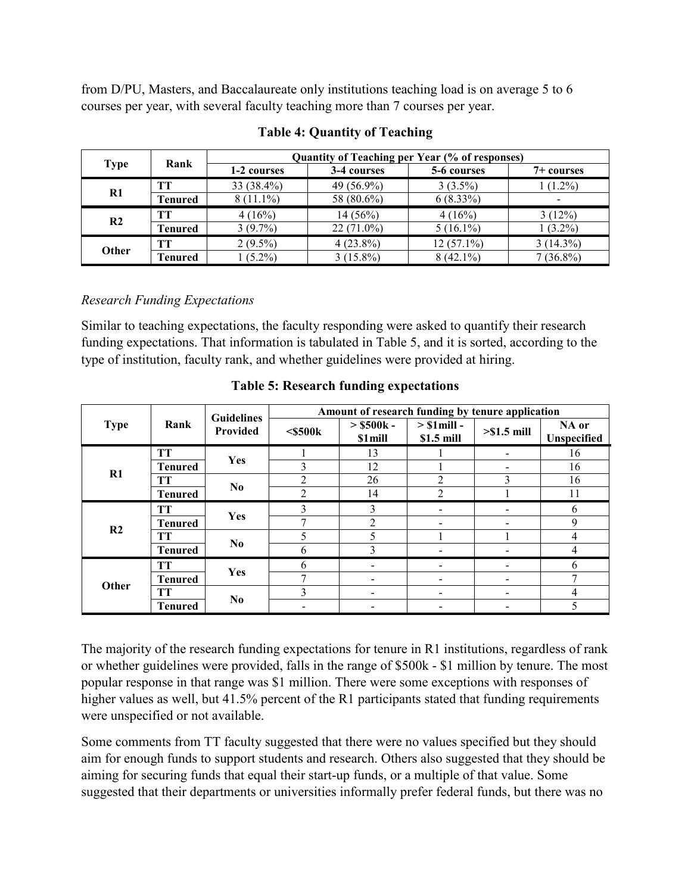from D/PU, Masters, and Baccalaureate only institutions teaching load is on average 5 to 6 courses per year, with several faculty teaching more than 7 courses per year.

<span id="page-6-0"></span>

|                | Rank           | <b>Quantity of Teaching per Year (% of responses)</b> |              |              |             |  |  |  |
|----------------|----------------|-------------------------------------------------------|--------------|--------------|-------------|--|--|--|
| Type           |                | 1-2 courses                                           | 3-4 courses  | 5-6 courses  | 7+ courses  |  |  |  |
|                | TT             | 33 (38.4%)                                            | 49 (56.9%)   | $3(3.5\%)$   | $1(1.2\%)$  |  |  |  |
| $\mathbf{R}1$  | <b>Tenured</b> | $8(11.1\%)$                                           | 58 (80.6%)   | $6(8.33\%)$  | -           |  |  |  |
| R <sub>2</sub> | TТ             | 4(16%)                                                | $14(56\%)$   | 4(16%)       | 3(12%)      |  |  |  |
|                | <b>Tenured</b> | $3(9.7\%)$                                            | $22(71.0\%)$ | $5(16.1\%)$  | $1(3.2\%)$  |  |  |  |
| Other          | TТ             | $2(9.5\%)$                                            | $4(23.8\%)$  | $12(57.1\%)$ | $3(14.3\%)$ |  |  |  |
|                | Tenured        | $(5.2\%)$                                             | $3(15.8\%)$  | $8(42.1\%)$  | $7(36.8\%)$ |  |  |  |

# **Table 4: Quantity of Teaching**

# *Research Funding Expectations*

Similar to teaching expectations, the faculty responding were asked to quantify their research funding expectations. That information is tabulated in [Table 5,](#page-6-1) and it is sorted, according to the type of institution, faculty rank, and whether guidelines were provided at hiring.

<span id="page-6-1"></span>

| <b>Type</b>    |                | <b>Guidelines</b> | Amount of research funding by tenure application |                             |                              |                          |                      |  |  |
|----------------|----------------|-------------------|--------------------------------------------------|-----------------------------|------------------------------|--------------------------|----------------------|--|--|
|                | Rank           | Provided          | $<$ \$500 $k$                                    | $>$ \$500 $k$ -<br>\$1 mill | $>$ S1 mill -<br>$$1.5$ mill | $> $1.5$ mill            | NA or<br>Unspecified |  |  |
|                | <b>TT</b>      | Yes               |                                                  | 13                          |                              |                          | 16                   |  |  |
| R1             | <b>Tenured</b> |                   | ζ                                                | 12                          |                              |                          | 16                   |  |  |
|                | <b>TT</b>      |                   |                                                  | 26                          |                              |                          | 16                   |  |  |
|                | <b>Tenured</b> | N <sub>0</sub>    | າ                                                | 14                          | $\mathfrak{D}$               |                          | 11                   |  |  |
|                | TT             | Yes               |                                                  | 3                           | $\blacksquare$               |                          | 6                    |  |  |
|                | <b>Tenured</b> |                   |                                                  | $\mathfrak{D}$              | $\overline{\phantom{a}}$     |                          | $\mathbf Q$          |  |  |
| R <sub>2</sub> | <b>TT</b>      | N <sub>0</sub>    | 5                                                |                             |                              |                          | 4                    |  |  |
|                | <b>Tenured</b> |                   | h                                                | 3                           |                              |                          | 4                    |  |  |
|                | TТ             |                   | h                                                |                             |                              |                          | 6                    |  |  |
| Other          | <b>Tenured</b> | Yes               | π                                                |                             | -                            |                          | 7                    |  |  |
|                | TT             |                   | ζ                                                | -                           | $\overline{\phantom{0}}$     | $\overline{\phantom{a}}$ | 4                    |  |  |
|                | <b>Tenured</b> | N <sub>0</sub>    |                                                  |                             |                              |                          | 5                    |  |  |

**Table 5: Research funding expectations**

The majority of the research funding expectations for tenure in R1 institutions, regardless of rank or whether guidelines were provided, falls in the range of \$500k - \$1 million by tenure. The most popular response in that range was \$1 million. There were some exceptions with responses of higher values as well, but 41.5% percent of the R1 participants stated that funding requirements were unspecified or not available.

Some comments from TT faculty suggested that there were no values specified but they should aim for enough funds to support students and research. Others also suggested that they should be aiming for securing funds that equal their start-up funds, or a multiple of that value. Some suggested that their departments or universities informally prefer federal funds, but there was no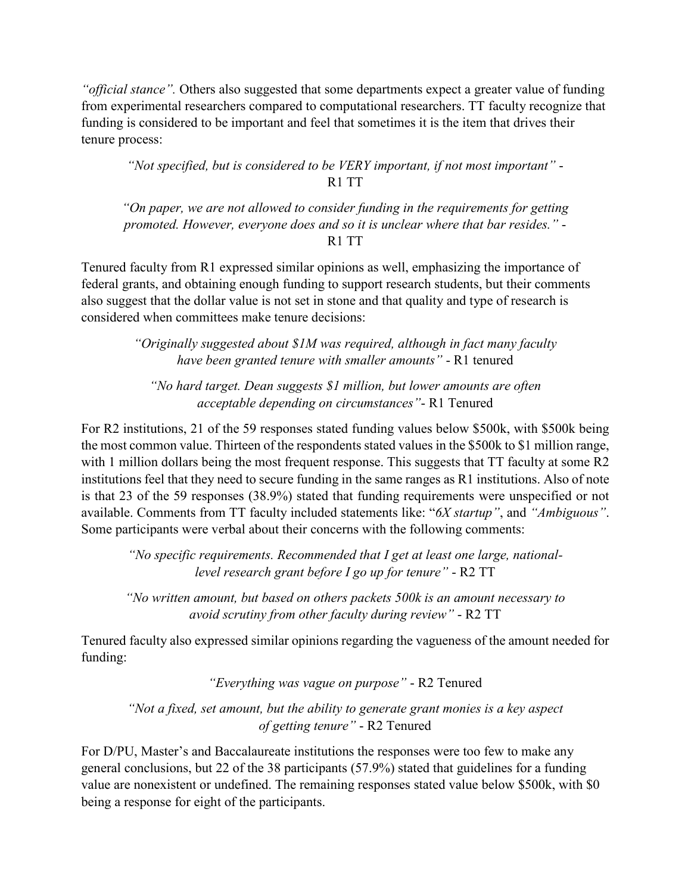*"official stance".* Others also suggested that some departments expect a greater value of funding from experimental researchers compared to computational researchers. TT faculty recognize that funding is considered to be important and feel that sometimes it is the item that drives their tenure process:

*"Not specified, but is considered to be VERY important, if not most important"* - R1 TT

*"On paper, we are not allowed to consider funding in the requirements for getting promoted. However, everyone does and so it is unclear where that bar resides."* - R1 TT

Tenured faculty from R1 expressed similar opinions as well, emphasizing the importance of federal grants, and obtaining enough funding to support research students, but their comments also suggest that the dollar value is not set in stone and that quality and type of research is considered when committees make tenure decisions:

> *"Originally suggested about \$1M was required, although in fact many faculty have been granted tenure with smaller amounts"* - R1 tenured

*"No hard target. Dean suggests \$1 million, but lower amounts are often acceptable depending on circumstances"*- R1 Tenured

For R2 institutions, 21 of the 59 responses stated funding values below \$500k, with \$500k being the most common value. Thirteen of the respondents stated values in the \$500k to \$1 million range, with 1 million dollars being the most frequent response. This suggests that TT faculty at some R2 institutions feel that they need to secure funding in the same ranges as R1 institutions. Also of note is that 23 of the 59 responses (38.9%) stated that funding requirements were unspecified or not available. Comments from TT faculty included statements like: "*6X startup"*, and *"Ambiguous"*. Some participants were verbal about their concerns with the following comments:

*"No specific requirements. Recommended that I get at least one large, nationallevel research grant before I go up for tenure"* - R2 TT

*"No written amount, but based on others packets 500k is an amount necessary to avoid scrutiny from other faculty during review"* - R2 TT

Tenured faculty also expressed similar opinions regarding the vagueness of the amount needed for funding:

*"Everything was vague on purpose"* - R2 Tenured

*"Not a fixed, set amount, but the ability to generate grant monies is a key aspect of getting tenure"* - R2 Tenured

For D/PU, Master's and Baccalaureate institutions the responses were too few to make any general conclusions, but 22 of the 38 participants (57.9%) stated that guidelines for a funding value are nonexistent or undefined. The remaining responses stated value below \$500k, with \$0 being a response for eight of the participants.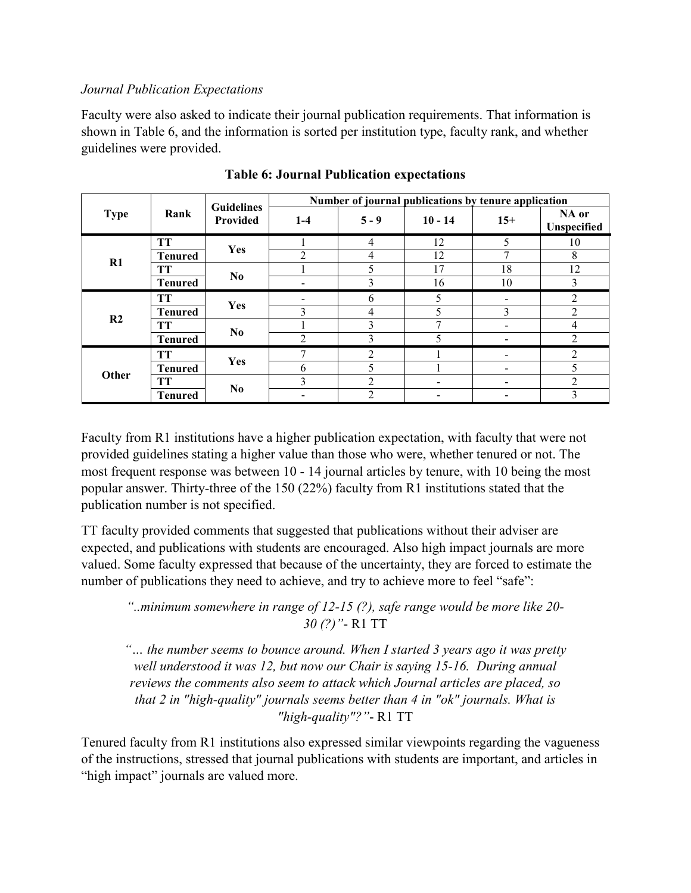#### *Journal Publication Expectations*

Faculty were also asked to indicate their journal publication requirements. That information is shown in [Table 6,](#page-8-0) and the information is sorted per institution type, faculty rank, and whether guidelines were provided.

<span id="page-8-0"></span>

| <b>Type</b>    |                | <b>Guidelines</b> | Number of journal publications by tenure application |                |              |       |                      |  |  |
|----------------|----------------|-------------------|------------------------------------------------------|----------------|--------------|-------|----------------------|--|--|
|                | Rank           | Provided          | $1-4$                                                | $5 - 9$        | $10 - 14$    | $15+$ | NA or<br>Unspecified |  |  |
|                | <b>TT</b>      | Yes               |                                                      | 4              | 12           | 5     | 10                   |  |  |
| $R1$           | <b>Tenured</b> |                   | っ                                                    | 4              | 12           | 7     | 8                    |  |  |
|                | <b>TT</b>      |                   |                                                      |                | 17           | 18    | 12                   |  |  |
|                | <b>Tenured</b> | No.               |                                                      |                | 16           | 10    | 3                    |  |  |
|                | <b>TT</b>      | <b>Yes</b>        |                                                      | 6              | 5            |       | 2                    |  |  |
| R <sub>2</sub> | <b>Tenured</b> |                   | $\mathbf{3}$                                         | 4              | 5            | 3     | $\mathfrak{D}$       |  |  |
|                | <b>TT</b>      | No.               |                                                      |                | $\mathbf{r}$ |       | 4                    |  |  |
|                | <b>Tenured</b> |                   | ◠                                                    | 3              | 5            |       | C                    |  |  |
|                | <b>TT</b>      |                   |                                                      | 2              |              |       | 2                    |  |  |
| Other          | <b>Tenured</b> | Yes               | 6                                                    |                |              |       | 5                    |  |  |
|                | <b>TT</b>      |                   | 3                                                    | $\mathfrak{D}$ |              |       | $\mathfrak{D}$       |  |  |
|                | <b>Tenured</b> | N <sub>0</sub>    |                                                      |                |              |       | 3                    |  |  |

**Table 6: Journal Publication expectations**

Faculty from R1 institutions have a higher publication expectation, with faculty that were not provided guidelines stating a higher value than those who were, whether tenured or not. The most frequent response was between 10 - 14 journal articles by tenure, with 10 being the most popular answer. Thirty-three of the 150 (22%) faculty from R1 institutions stated that the publication number is not specified.

TT faculty provided comments that suggested that publications without their adviser are expected, and publications with students are encouraged. Also high impact journals are more valued. Some faculty expressed that because of the uncertainty, they are forced to estimate the number of publications they need to achieve, and try to achieve more to feel "safe":

*"..minimum somewhere in range of 12-15 (?), safe range would be more like 20- 30 (?)"*- R1 TT

*"… the number seems to bounce around. When I started 3 years ago it was pretty well understood it was 12, but now our Chair is saying 15-16. During annual reviews the comments also seem to attack which Journal articles are placed, so that 2 in "high-quality" journals seems better than 4 in "ok" journals. What is "high-quality"?"*- R1 TT

Tenured faculty from R1 institutions also expressed similar viewpoints regarding the vagueness of the instructions, stressed that journal publications with students are important, and articles in "high impact" journals are valued more.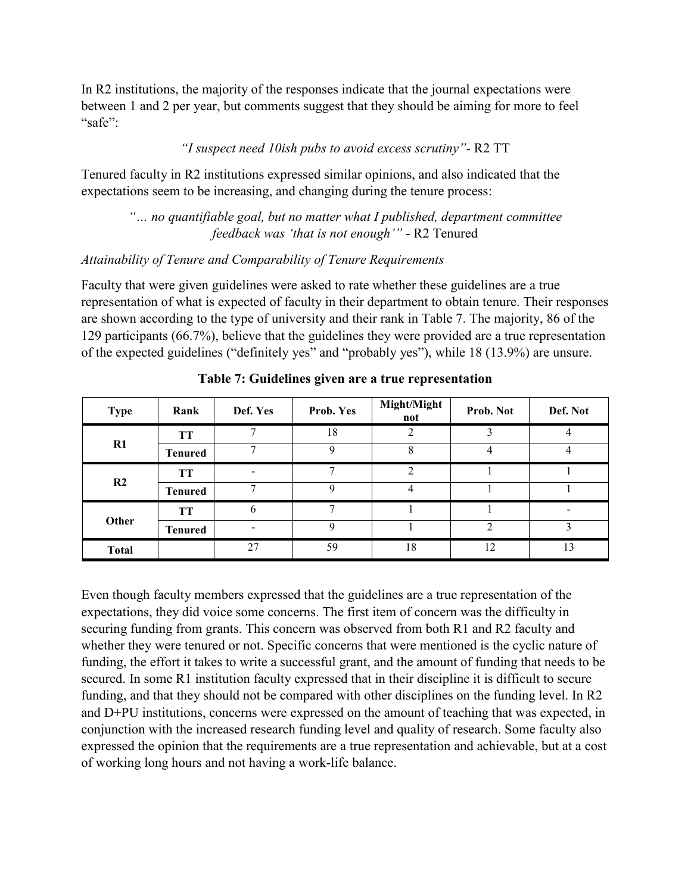In R2 institutions, the majority of the responses indicate that the journal expectations were between 1 and 2 per year, but comments suggest that they should be aiming for more to feel "safe":

#### *"I suspect need 10ish pubs to avoid excess scrutiny"*- R2 TT

Tenured faculty in R2 institutions expressed similar opinions, and also indicated that the expectations seem to be increasing, and changing during the tenure process:

# *"… no quantifiable goal, but no matter what I published, department committee feedback was 'that is not enough'"* - R2 Tenured

#### *Attainability of Tenure and Comparability of Tenure Requirements*

Faculty that were given guidelines were asked to rate whether these guidelines are a true representation of what is expected of faculty in their department to obtain tenure. Their responses are shown according to the type of university and their rank in [Table 7.](#page-9-0) The majority, 86 of the 129 participants (66.7%), believe that the guidelines they were provided are a true representation of the expected guidelines ("definitely yes" and "probably yes"), while 18 (13.9%) are unsure.

<span id="page-9-0"></span>

| <b>Type</b>    | Rank           | Def. Yes                     | Prob. Yes   | Might/Might<br>not | Prob. Not      | Def. Not |
|----------------|----------------|------------------------------|-------------|--------------------|----------------|----------|
|                | TT             | π                            | 18          | 2                  |                |          |
| R1             | <b>Tenured</b> | 7                            | Q           | 8                  | 4              |          |
| R <sub>2</sub> | TT             | $\qquad \qquad \blacksquare$ |             | ↑                  |                |          |
|                | <b>Tenured</b> | 7                            | 9           | 4                  |                |          |
|                | TT             | 6                            | -           |                    |                |          |
| Other          | <b>Tenured</b> | $\overline{\phantom{a}}$     | $\mathbf Q$ |                    | $\mathfrak{D}$ |          |
| <b>Total</b>   |                | 27                           | 59          | 18                 | 12             | 13       |

**Table 7: Guidelines given are a true representation**

Even though faculty members expressed that the guidelines are a true representation of the expectations, they did voice some concerns. The first item of concern was the difficulty in securing funding from grants. This concern was observed from both R1 and R2 faculty and whether they were tenured or not. Specific concerns that were mentioned is the cyclic nature of funding, the effort it takes to write a successful grant, and the amount of funding that needs to be secured. In some R1 institution faculty expressed that in their discipline it is difficult to secure funding, and that they should not be compared with other disciplines on the funding level. In R2 and D+PU institutions, concerns were expressed on the amount of teaching that was expected, in conjunction with the increased research funding level and quality of research. Some faculty also expressed the opinion that the requirements are a true representation and achievable, but at a cost of working long hours and not having a work-life balance.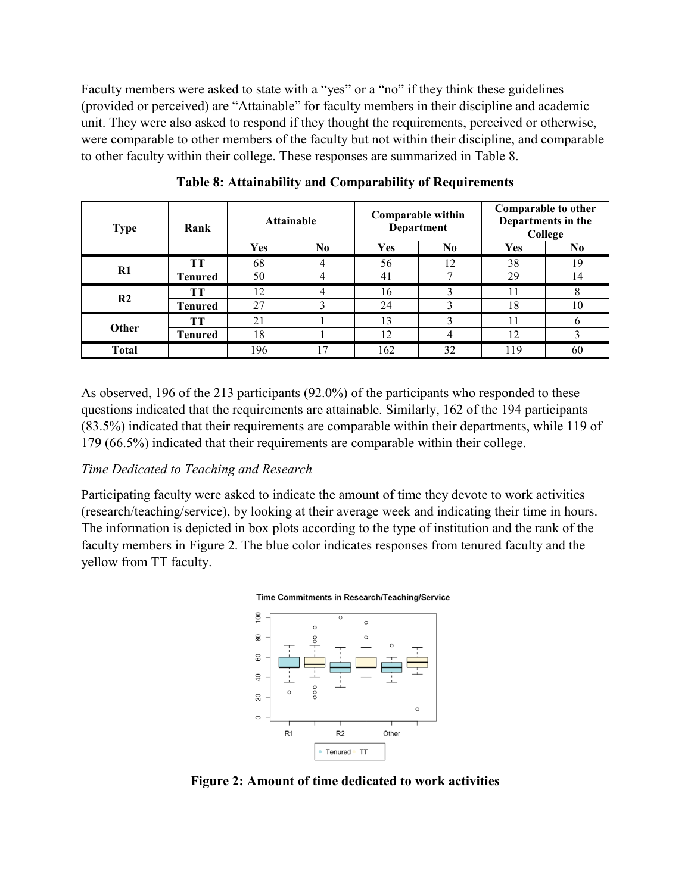Faculty members were asked to state with a "yes" or a "no" if they think these guidelines (provided or perceived) are "Attainable" for faculty members in their discipline and academic unit. They were also asked to respond if they thought the requirements, perceived or otherwise, were comparable to other members of the faculty but not within their discipline, and comparable to other faculty within their college. These responses are summarized in [Table 8.](#page-10-0)

<span id="page-10-0"></span>

| <b>Type</b>    | Rank           | <b>Attainable</b> |                |     | Comparable within<br><b>Department</b> | Comparable to other<br>Departments in the<br>College |    |
|----------------|----------------|-------------------|----------------|-----|----------------------------------------|------------------------------------------------------|----|
|                |                | Yes               | N <sub>0</sub> | Yes | N <sub>0</sub>                         | Yes                                                  | No |
| R1             | TT             | 68                |                | 56  | 12                                     | 38                                                   | 19 |
|                | <b>Tenured</b> | 50                |                | 41  | ⇁                                      | 29                                                   | 14 |
| R <sub>2</sub> | TТ             | 12                |                | 16  | 3                                      |                                                      | Δ  |
|                | <b>Tenured</b> | 27                |                | 24  |                                        | 18                                                   | 10 |
| Other          | TT             | 21                |                | 13  |                                        |                                                      | h  |
|                | <b>Tenured</b> | 18                |                | 12  | 4                                      | 12                                                   | 3  |
| <b>Total</b>   |                | 196               | 17             | 162 | 32                                     | 119                                                  | 60 |

**Table 8: Attainability and Comparability of Requirements**

As observed, 196 of the 213 participants (92.0%) of the participants who responded to these questions indicated that the requirements are attainable. Similarly, 162 of the 194 participants (83.5%) indicated that their requirements are comparable within their departments, while 119 of 179 (66.5%) indicated that their requirements are comparable within their college.

#### *Time Dedicated to Teaching and Research*

Participating faculty were asked to indicate the amount of time they devote to work activities (research/teaching/service), by looking at their average week and indicating their time in hours. The information is depicted in box plots according to the type of institution and the rank of the faculty members in [Figure 2.](#page-10-1) The blue color indicates responses from tenured faculty and the yellow from TT faculty.





<span id="page-10-1"></span>**Figure 2: Amount of time dedicated to work activities**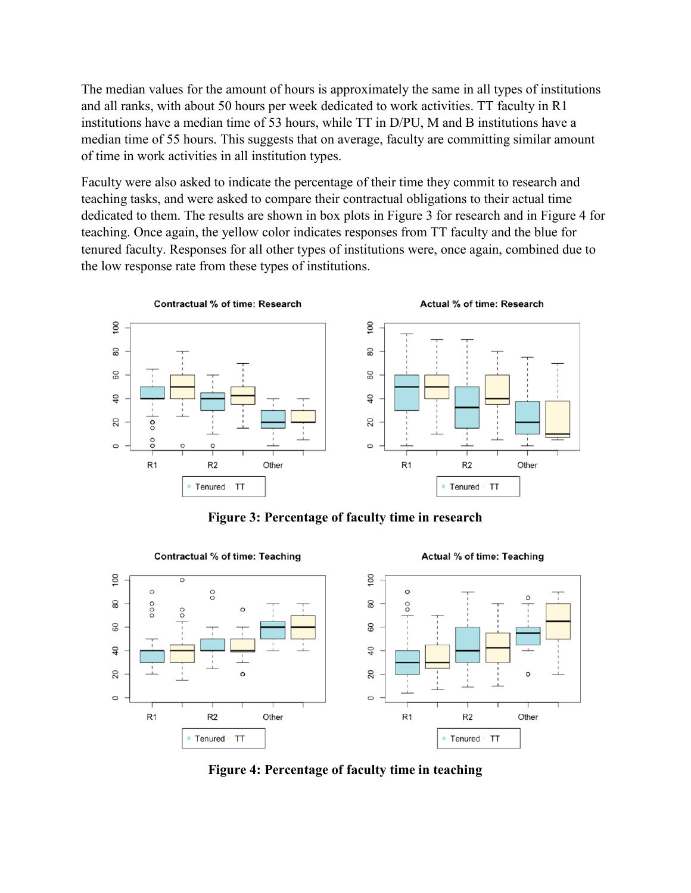The median values for the amount of hours is approximately the same in all types of institutions and all ranks, with about 50 hours per week dedicated to work activities. TT faculty in R1 institutions have a median time of 53 hours, while TT in D/PU, M and B institutions have a median time of 55 hours. This suggests that on average, faculty are committing similar amount of time in work activities in all institution types.

Faculty were also asked to indicate the percentage of their time they commit to research and teaching tasks, and were asked to compare their contractual obligations to their actual time dedicated to them. The results are shown in box plots in [Figure 3](#page-11-0) for research and in [Figure 4](#page-11-1) for teaching. Once again, the yellow color indicates responses from TT faculty and the blue for tenured faculty. Responses for all other types of institutions were, once again, combined due to the low response rate from these types of institutions.



**Figure 3: Percentage of faculty time in research**

<span id="page-11-0"></span>

<span id="page-11-1"></span>**Figure 4: Percentage of faculty time in teaching**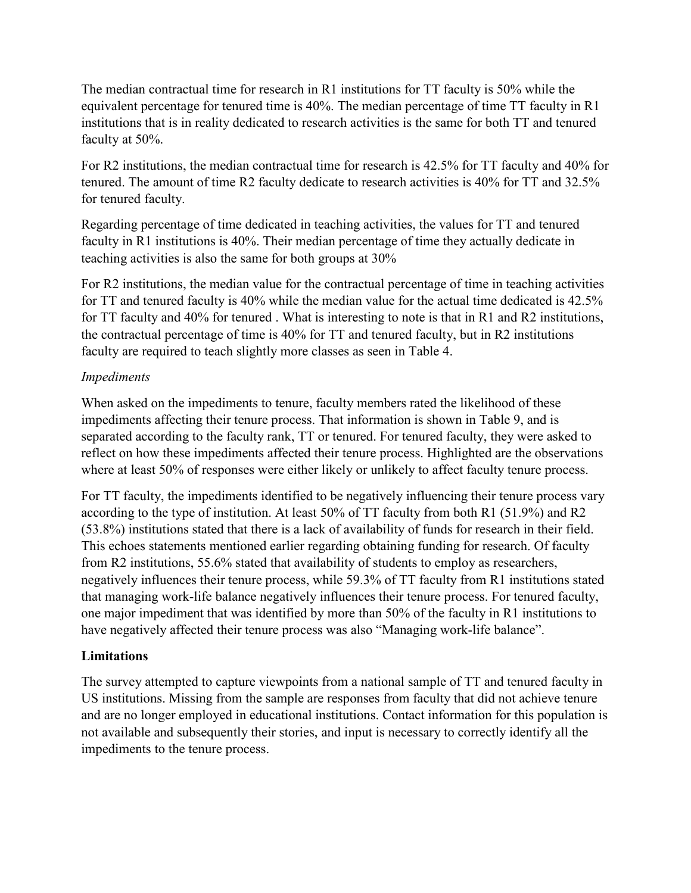The median contractual time for research in R1 institutions for TT faculty is 50% while the equivalent percentage for tenured time is 40%. The median percentage of time TT faculty in R1 institutions that is in reality dedicated to research activities is the same for both TT and tenured faculty at 50%.

For R2 institutions, the median contractual time for research is 42.5% for TT faculty and 40% for tenured. The amount of time R2 faculty dedicate to research activities is 40% for TT and 32.5% for tenured faculty.

Regarding percentage of time dedicated in teaching activities, the values for TT and tenured faculty in R1 institutions is 40%. Their median percentage of time they actually dedicate in teaching activities is also the same for both groups at 30%

For R2 institutions, the median value for the contractual percentage of time in teaching activities for TT and tenured faculty is 40% while the median value for the actual time dedicated is 42.5% for TT faculty and 40% for tenured . What is interesting to note is that in R1 and R2 institutions, the contractual percentage of time is 40% for TT and tenured faculty, but in R2 institutions faculty are required to teach slightly more classes as seen in [Table 4.](#page-6-0)

# *Impediments*

When asked on the impediments to tenure, faculty members rated the likelihood of these impediments affecting their tenure process. That information is shown in [Table 9,](#page-13-0) and is separated according to the faculty rank, TT or tenured. For tenured faculty, they were asked to reflect on how these impediments affected their tenure process. Highlighted are the observations where at least 50% of responses were either likely or unlikely to affect faculty tenure process.

For TT faculty, the impediments identified to be negatively influencing their tenure process vary according to the type of institution. At least 50% of TT faculty from both R1 (51.9%) and R2 (53.8%) institutions stated that there is a lack of availability of funds for research in their field. This echoes statements mentioned earlier regarding obtaining funding for research. Of faculty from R2 institutions, 55.6% stated that availability of students to employ as researchers, negatively influences their tenure process, while 59.3% of TT faculty from R1 institutions stated that managing work-life balance negatively influences their tenure process. For tenured faculty, one major impediment that was identified by more than 50% of the faculty in R1 institutions to have negatively affected their tenure process was also "Managing work-life balance".

# **Limitations**

The survey attempted to capture viewpoints from a national sample of TT and tenured faculty in US institutions. Missing from the sample are responses from faculty that did not achieve tenure and are no longer employed in educational institutions. Contact information for this population is not available and subsequently their stories, and input is necessary to correctly identify all the impediments to the tenure process.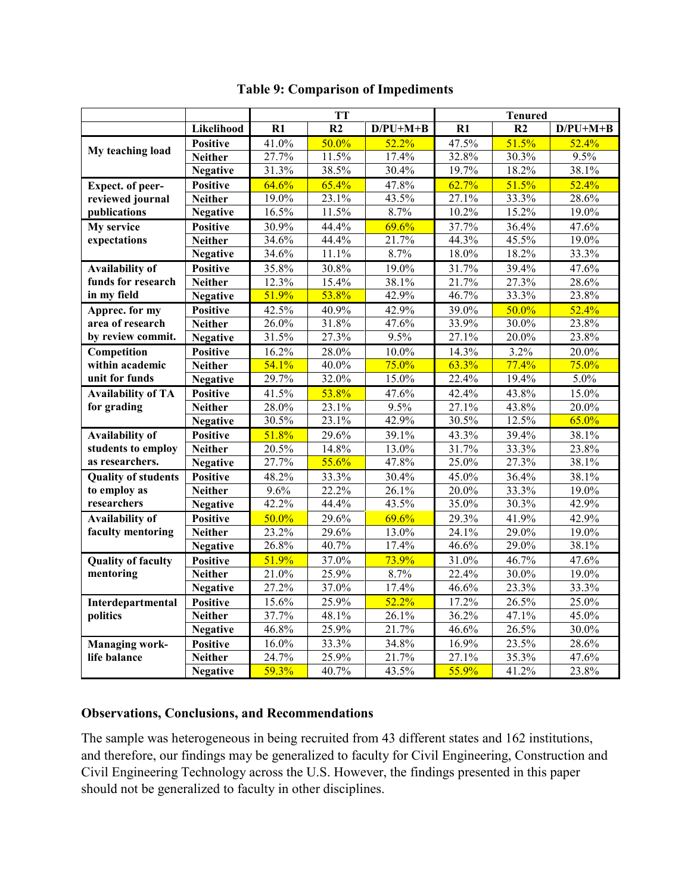<span id="page-13-0"></span>

|                            |                             | <b>TT</b>           |       |            | <b>Tenured</b> |                |            |  |
|----------------------------|-----------------------------|---------------------|-------|------------|----------------|----------------|------------|--|
|                            | Likelihood                  | R1                  | R2    | $D/PU+M+B$ | R1             | R <sub>2</sub> | $D/PU+M+B$ |  |
|                            | <b>Positive</b>             | 41.0%               | 50.0% | 52.2%      | 47.5%          | 51.5%          | 52.4%      |  |
| My teaching load           | <b>Neither</b>              | 27.7%               | 11.5% | 17.4%      | 32.8%          | 30.3%          | 9.5%       |  |
|                            | <b>Negative</b>             | 31.3%               | 38.5% | 30.4%      | 19.7%          | 18.2%          | 38.1%      |  |
| Expect. of peer-           | <b>Positive</b>             | 64.6%               | 65.4% | 47.8%      | 62.7%          | 51.5%          | 52.4%      |  |
| reviewed journal           | <b>Neither</b>              | 19.0%               | 23.1% | 43.5%      | 27.1%          | 33.3%          | 28.6%      |  |
| publications               | <b>Negative</b>             | 16.5%               | 11.5% | 8.7%       | 10.2%          | 15.2%          | 19.0%      |  |
| My service                 | <b>Positive</b>             | 30.9%               | 44.4% | 69.6%      | 37.7%          | 36.4%          | 47.6%      |  |
| expectations               | <b>Neither</b>              | 34.6%               | 44.4% | 21.7%      | 44.3%          | 45.5%          | 19.0%      |  |
|                            | <b>Negative</b>             | 34.6%               | 11.1% | 8.7%       | 18.0%          | 18.2%          | 33.3%      |  |
| <b>Availability of</b>     | <b>Positive</b>             | 35.8%               | 30.8% | 19.0%      | 31.7%          | 39.4%          | 47.6%      |  |
| funds for research         | <b>Neither</b>              | 12.3%               | 15.4% | 38.1%      | 21.7%          | 27.3%          | 28.6%      |  |
| in my field                | <b>Negative</b>             | 51.9%               | 53.8% | 42.9%      | 46.7%          | 33.3%          | 23.8%      |  |
| Apprec. for my             | <b>Positive</b>             | 42.5%               | 40.9% | 42.9%      | 39.0%          | 50.0%          | 52.4%      |  |
| area of research           | <b>Neither</b>              | 26.0%               | 31.8% | 47.6%      | 33.9%          | 30.0%          | 23.8%      |  |
| by review commit.          | <b>Negative</b>             | 31.5%               | 27.3% | 9.5%       | 27.1%          | 20.0%          | 23.8%      |  |
| Competition                | <b>Positive</b>             | 16.2%               | 28.0% | $10.0\%$   | 14.3%          | 3.2%           | 20.0%      |  |
| within academic            | <b>Neither</b>              | 54.1%               | 40.0% | 75.0%      | 63.3%          | 77.4%          | 75.0%      |  |
| unit for funds             | <b>Negative</b>             | 29.7%               | 32.0% | 15.0%      | 22.4%          | 19.4%          | 5.0%       |  |
| <b>Availability of TA</b>  | <b>Positive</b>             | 41.5%               | 53.8% | 47.6%      | 42.4%          | 43.8%          | 15.0%      |  |
| for grading                | <b>Neither</b>              | 28.0%               | 23.1% | 9.5%       | 27.1%          | 43.8%          | 20.0%      |  |
|                            | <b>Negative</b>             | 30.5%               | 23.1% | 42.9%      | 30.5%          | 12.5%          | 65.0%      |  |
| <b>Availability of</b>     | <b>Positive</b>             | 51.8%               | 29.6% | 39.1%      | 43.3%          | 39.4%          | 38.1%      |  |
| students to employ         | <b>Neither</b>              | 20.5%               | 14.8% | 13.0%      | 31.7%          | 33.3%          | 23.8%      |  |
| as researchers.            | <b>Negative</b>             | 27.7%               | 55.6% | 47.8%      | 25.0%          | 27.3%          | 38.1%      |  |
| <b>Quality of students</b> | <b>Positive</b>             | 48.2%               | 33.3% | 30.4%      | 45.0%          | 36.4%          | 38.1%      |  |
| to employ as               | $\overline{\text{Neither}}$ | 9.6%                | 22.2% | 26.1%      | 20.0%          | 33.3%          | 19.0%      |  |
| researchers                | <b>Negative</b>             | 42.2%               | 44.4% | 43.5%      | 35.0%          | 30.3%          | 42.9%      |  |
| <b>Availability of</b>     | <b>Positive</b>             | 50.0%               | 29.6% | 69.6%      | 29.3%          | 41.9%          | 42.9%      |  |
| faculty mentoring          | <b>Neither</b>              | 23.2%               | 29.6% | 13.0%      | 24.1%          | 29.0%          | 19.0%      |  |
|                            | <b>Negative</b>             | 26.8%               | 40.7% | 17.4%      | 46.6%          | 29.0%          | 38.1%      |  |
| <b>Quality of faculty</b>  | <b>Positive</b>             | 51.9%               | 37.0% | 73.9%      | 31.0%          | 46.7%          | 47.6%      |  |
| mentoring                  | <b>Neither</b>              | 21.0%               | 25.9% | 8.7%       | 22.4%          | 30.0%          | 19.0%      |  |
|                            | <b>Negative</b>             | 27.2%               | 37.0% | 17.4%      | 46.6%          | 23.3%          | 33.3%      |  |
| Interdepartmental          | <b>Positive</b>             | 15.6%               | 25.9% | 52.2%      | 17.2%          | 26.5%          | 25.0%      |  |
| politics                   | Neither                     | 37.7%               | 48.1% | 26.1%      | 36.2%          | 47.1%          | 45.0%      |  |
|                            | <b>Negative</b>             | 46.8%               | 25.9% | 21.7%      | 46.6%          | 26.5%          | $30.0\%$   |  |
| <b>Managing work-</b>      | <b>Positive</b>             | 16.0%               | 33.3% | 34.8%      | 16.9%          | 23.5%          | 28.6%      |  |
| life balance               | Neither                     | 24.7%               | 25.9% | 21.7%      | 27.1%          | 35.3%          | 47.6%      |  |
|                            | <b>Negative</b>             | $\overline{59.3\%}$ | 40.7% | 43.5%      | 55.9%          | 41.2%          | 23.8%      |  |

# **Table 9: Comparison of Impediments**

#### **Observations, Conclusions, and Recommendations**

The sample was heterogeneous in being recruited from 43 different states and 162 institutions, and therefore, our findings may be generalized to faculty for Civil Engineering, Construction and Civil Engineering Technology across the U.S. However, the findings presented in this paper should not be generalized to faculty in other disciplines.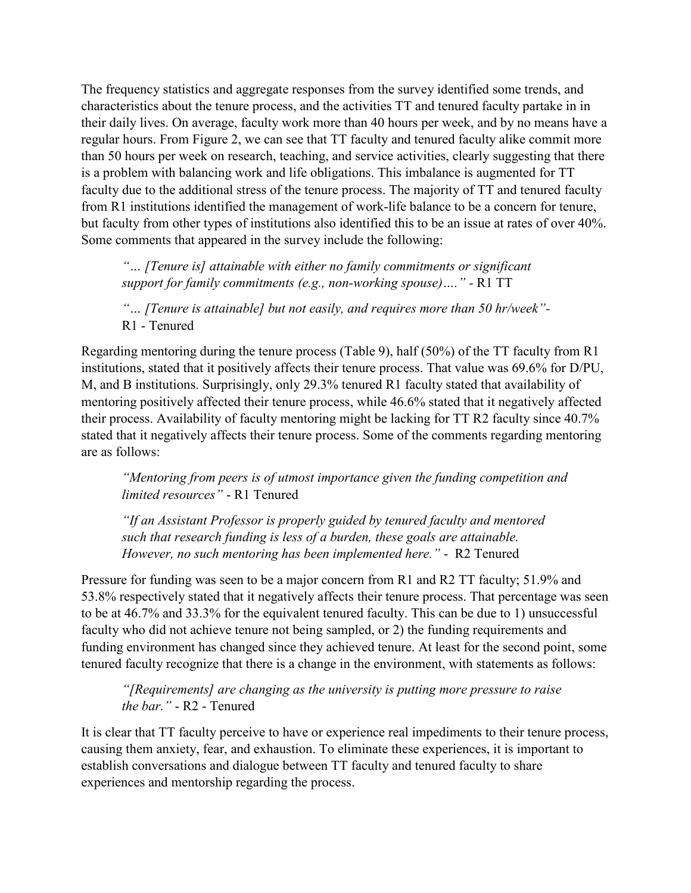The frequency statistics and aggregate responses from the survey identified some trends, and characteristics about the tenure process, and the activities TT and tenured faculty partake in in their daily lives. On average, faculty work more than 40 hours per week, and by no means have a regular hours. From [Figure 2,](#page-10-1) we can see that TT faculty and tenured faculty alike commit more than 50 hours per week on research, teaching, and service activities, clearly suggesting that there is a problem with balancing work and life obligations. This imbalance is augmented for TT faculty due to the additional stress of the tenure process. The majority of TT and tenured faculty from R1 institutions identified the management of work-life balance to be a concern for tenure, but faculty from other types of institutions also identified this to be an issue at rates of over 40%. Some comments that appeared in the survey include the following:

*"… [Tenure is] attainable with either no family commitments or significant support for family commitments (e.g., non-working spouse)…." -* R1 TT

*"… [Tenure is attainable] but not easily, and requires more than 50 hr/week"-* R1 - Tenured

Regarding mentoring during the tenure process [\(Table 9\)](#page-13-0), half (50%) of the TT faculty from R1 institutions, stated that it positively affects their tenure process. That value was 69.6% for D/PU, M, and B institutions. Surprisingly, only 29.3% tenured R1 faculty stated that availability of mentoring positively affected their tenure process, while 46.6% stated that it negatively affected their process. Availability of faculty mentoring might be lacking for TT R2 faculty since 40.7% stated that it negatively affects their tenure process. Some of the comments regarding mentoring are as follows:

*"Mentoring from peers is of utmost importance given the funding competition and limited resources"* - R1 Tenured

*"If an Assistant Professor is properly guided by tenured faculty and mentored such that research funding is less of a burden, these goals are attainable. However, no such mentoring has been implemented here."* - R2 Tenured

Pressure for funding was seen to be a major concern from R1 and R2 TT faculty; 51.9% and 53.8% respectively stated that it negatively affects their tenure process. That percentage was seen to be at 46.7% and 33.3% for the equivalent tenured faculty. This can be due to 1) unsuccessful faculty who did not achieve tenure not being sampled, or 2) the funding requirements and funding environment has changed since they achieved tenure. At least for the second point, some tenured faculty recognize that there is a change in the environment, with statements as follows:

*"[Requirements] are changing as the university is putting more pressure to raise the bar."* - R2 - Tenured

It is clear that TT faculty perceive to have or experience real impediments to their tenure process, causing them anxiety, fear, and exhaustion. To eliminate these experiences, it is important to establish conversations and dialogue between TT faculty and tenured faculty to share experiences and mentorship regarding the process.